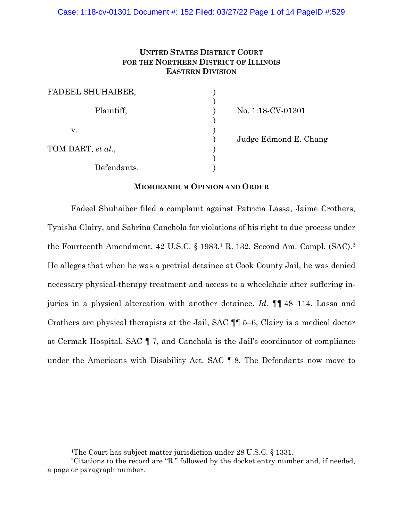# **UNITED STATES DISTRICT COURT FOR THE NORTHERN DISTRICT OF ILLINOIS EASTERN DIVISION**

| FADEEL SHUHAIBER, |  |
|-------------------|--|
| Plaintiff,        |  |
| V.                |  |
| TOM DART, et al., |  |
| Defendants.       |  |

No. 1:18-CV-01301

) Judge Edmond E. Chang

## **MEMORANDUM OPINION AND ORDER**

Fadeel Shuhaiber filed a complaint against Patricia Lassa, Jaime Crothers, Tynisha Clairy, and Sabrina Canchola for violations of his right to due process under the Fourteenth Amendment, 42 U.S.C. § 1983.1 R. 132, Second Am. Compl. (SAC).2 He alleges that when he was a pretrial detainee at Cook County Jail, he was denied necessary physical-therapy treatment and access to a wheelchair after suffering injuries in a physical altercation with another detainee. *Id.* ¶¶ 48–114. Lassa and Crothers are physical therapists at the Jail, SAC ¶¶ 5–6, Clairy is a medical doctor at Cermak Hospital, SAC ¶ 7, and Canchola is the Jail's coordinator of compliance under the Americans with Disability Act, SAC ¶ 8. The Defendants now move to

<sup>&</sup>lt;sup>1</sup>The Court has subject matter jurisdiction under 28 U.S.C. § 1331.

<sup>2</sup>Citations to the record are "R." followed by the docket entry number and, if needed, a page or paragraph number.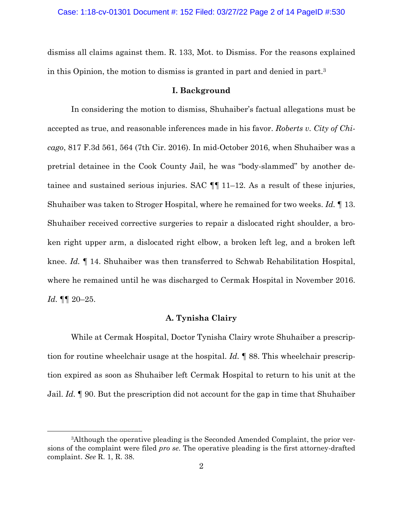dismiss all claims against them. R. 133, Mot. to Dismiss. For the reasons explained in this Opinion, the motion to dismiss is granted in part and denied in part.3

## **I. Background**

In considering the motion to dismiss, Shuhaiber's factual allegations must be accepted as true, and reasonable inferences made in his favor. *Roberts v. City of Chicago*, 817 F.3d 561, 564 (7th Cir. 2016). In mid-October 2016, when Shuhaiber was a pretrial detainee in the Cook County Jail, he was "body-slammed" by another detainee and sustained serious injuries. SAC ¶¶ 11–12. As a result of these injuries, Shuhaiber was taken to Stroger Hospital, where he remained for two weeks. *Id.* ¶ 13. Shuhaiber received corrective surgeries to repair a dislocated right shoulder, a broken right upper arm, a dislocated right elbow, a broken left leg, and a broken left knee. *Id.* ¶ 14. Shuhaiber was then transferred to Schwab Rehabilitation Hospital, where he remained until he was discharged to Cermak Hospital in November 2016. *Id.* ¶¶ 20–25.

## **A. Tynisha Clairy**

While at Cermak Hospital, Doctor Tynisha Clairy wrote Shuhaiber a prescription for routine wheelchair usage at the hospital. *Id.* ¶ 88. This wheelchair prescription expired as soon as Shuhaiber left Cermak Hospital to return to his unit at the Jail. *Id.* ¶ 90. But the prescription did not account for the gap in time that Shuhaiber

<sup>3</sup>Although the operative pleading is the Seconded Amended Complaint, the prior versions of the complaint were filed *pro se*. The operative pleading is the first attorney-drafted complaint. *See* R. 1, R. 38.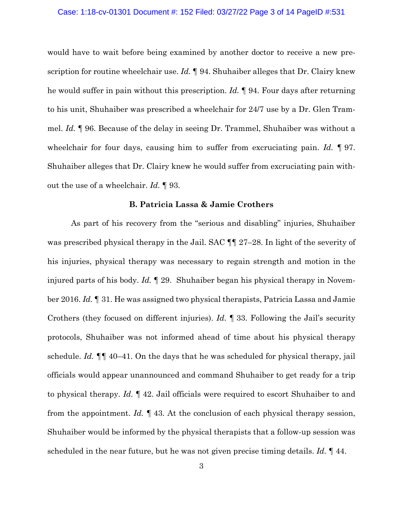#### Case: 1:18-cv-01301 Document #: 152 Filed: 03/27/22 Page 3 of 14 PageID #:531

would have to wait before being examined by another doctor to receive a new prescription for routine wheelchair use. *Id.* ¶ 94. Shuhaiber alleges that Dr. Clairy knew he would suffer in pain without this prescription. *Id.* ¶ 94. Four days after returning to his unit, Shuhaiber was prescribed a wheelchair for 24/7 use by a Dr. Glen Trammel. *Id.* ¶ 96. Because of the delay in seeing Dr. Trammel, Shuhaiber was without a wheelchair for four days, causing him to suffer from excruciating pain. *Id. ¶* 97. Shuhaiber alleges that Dr. Clairy knew he would suffer from excruciating pain without the use of a wheelchair. *Id.* ¶ 93.

### **B. Patricia Lassa & Jamie Crothers**

As part of his recovery from the "serious and disabling" injuries, Shuhaiber was prescribed physical therapy in the Jail. SAC  $\P$  27–28. In light of the severity of his injuries, physical therapy was necessary to regain strength and motion in the injured parts of his body. *Id.* ¶ 29. Shuhaiber began his physical therapy in November 2016. *Id.* ¶ 31. He was assigned two physical therapists, Patricia Lassa and Jamie Crothers (they focused on different injuries). *Id.* ¶ 33. Following the Jail's security protocols, Shuhaiber was not informed ahead of time about his physical therapy schedule. *Id. ¶¶* 40–41. On the days that he was scheduled for physical therapy, jail officials would appear unannounced and command Shuhaiber to get ready for a trip to physical therapy. *Id.* ¶ 42. Jail officials were required to escort Shuhaiber to and from the appointment. *Id. ¶* 43. At the conclusion of each physical therapy session, Shuhaiber would be informed by the physical therapists that a follow-up session was scheduled in the near future, but he was not given precise timing details. *Id.* ¶ 44.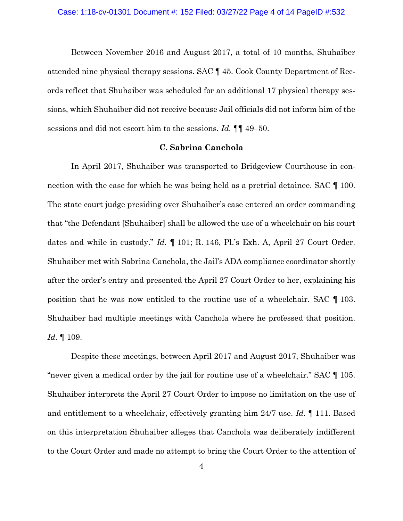Between November 2016 and August 2017, a total of 10 months, Shuhaiber attended nine physical therapy sessions. SAC ¶ 45. Cook County Department of Records reflect that Shuhaiber was scheduled for an additional 17 physical therapy sessions, which Shuhaiber did not receive because Jail officials did not inform him of the sessions and did not escort him to the sessions. *Id.* ¶¶ 49–50.

#### **C. Sabrina Canchola**

In April 2017, Shuhaiber was transported to Bridgeview Courthouse in connection with the case for which he was being held as a pretrial detainee. SAC  $\P$  100. The state court judge presiding over Shuhaiber's case entered an order commanding that "the Defendant [Shuhaiber] shall be allowed the use of a wheelchair on his court dates and while in custody." *Id.* ¶ 101; R. 146, Pl.'s Exh. A, April 27 Court Order. Shuhaiber met with Sabrina Canchola, the Jail's ADA compliance coordinator shortly after the order's entry and presented the April 27 Court Order to her, explaining his position that he was now entitled to the routine use of a wheelchair. SAC ¶ 103. Shuhaiber had multiple meetings with Canchola where he professed that position. *Id.* ¶ 109.

Despite these meetings, between April 2017 and August 2017, Shuhaiber was "never given a medical order by the jail for routine use of a wheelchair." SAC ¶ 105. Shuhaiber interprets the April 27 Court Order to impose no limitation on the use of and entitlement to a wheelchair, effectively granting him 24/7 use. *Id.* ¶ 111. Based on this interpretation Shuhaiber alleges that Canchola was deliberately indifferent to the Court Order and made no attempt to bring the Court Order to the attention of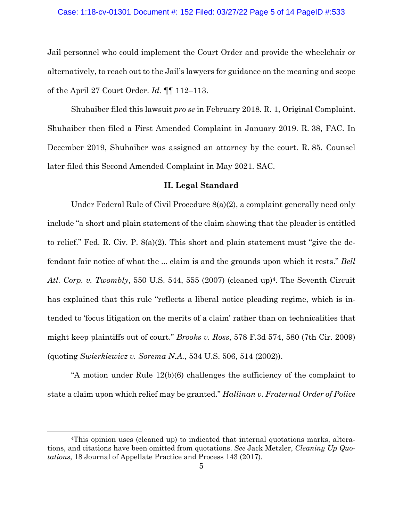## Case: 1:18-cv-01301 Document #: 152 Filed: 03/27/22 Page 5 of 14 PageID #:533

Jail personnel who could implement the Court Order and provide the wheelchair or alternatively, to reach out to the Jail's lawyers for guidance on the meaning and scope of the April 27 Court Order. *Id.* ¶¶ 112–113.

Shuhaiber filed this lawsuit *pro se* in February 2018. R. 1, Original Complaint. Shuhaiber then filed a First Amended Complaint in January 2019. R. 38, FAC. In December 2019, Shuhaiber was assigned an attorney by the court. R. 85. Counsel later filed this Second Amended Complaint in May 2021. SAC.

## **II. Legal Standard**

Under Federal Rule of Civil Procedure 8(a)(2), a complaint generally need only include "a short and plain statement of the claim showing that the pleader is entitled to relief." Fed. R. Civ. P. 8(a)(2). This short and plain statement must "give the defendant fair notice of what the ... claim is and the grounds upon which it rests." *Bell*  Atl. Corp. v. Twombly, 550 U.S. 544, 555 (2007) (cleaned up)<sup>4</sup>. The Seventh Circuit has explained that this rule "reflects a liberal notice pleading regime, which is intended to 'focus litigation on the merits of a claim' rather than on technicalities that might keep plaintiffs out of court." *Brooks v. Ross*, 578 F.3d 574, 580 (7th Cir. 2009) (quoting *Swierkiewicz v. Sorema N.A.*, 534 U.S. 506, 514 (2002)).

"A motion under Rule 12(b)(6) challenges the sufficiency of the complaint to state a claim upon which relief may be granted." *Hallinan v. Fraternal Order of Police* 

<sup>4</sup>This opinion uses (cleaned up) to indicated that internal quotations marks, alterations, and citations have been omitted from quotations. *See* Jack Metzler, *Cleaning Up Quotations*, 18 Journal of Appellate Practice and Process 143 (2017).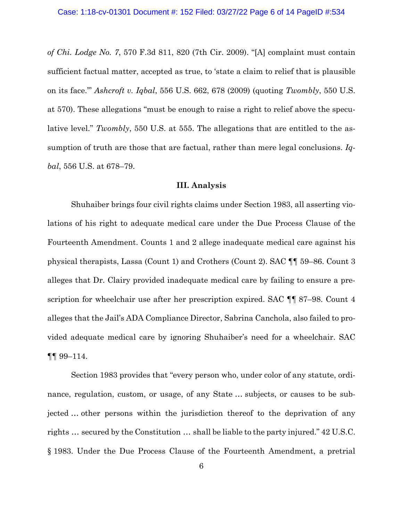*of Chi. Lodge No. 7*, 570 F.3d 811, 820 (7th Cir. 2009). "[A] complaint must contain sufficient factual matter, accepted as true, to 'state a claim to relief that is plausible on its face.'" *Ashcroft v. Iqbal*, 556 U.S. 662, 678 (2009) (quoting *Twombly*, 550 U.S. at 570). These allegations "must be enough to raise a right to relief above the speculative level." *Twombly*, 550 U.S. at 555. The allegations that are entitled to the assumption of truth are those that are factual, rather than mere legal conclusions. *Iqbal*, 556 U.S. at 678–79.

### **III. Analysis**

Shuhaiber brings four civil rights claims under Section 1983, all asserting violations of his right to adequate medical care under the Due Process Clause of the Fourteenth Amendment. Counts 1 and 2 allege inadequate medical care against his physical therapists, Lassa (Count 1) and Crothers (Count 2). SAC ¶¶ 59–86. Count 3 alleges that Dr. Clairy provided inadequate medical care by failing to ensure a prescription for wheelchair use after her prescription expired. SAC  $\P\P$  87–98. Count 4 alleges that the Jail's ADA Compliance Director, Sabrina Canchola, also failed to provided adequate medical care by ignoring Shuhaiber's need for a wheelchair. SAC ¶¶ 99–114.

Section 1983 provides that "every person who, under color of any statute, ordinance, regulation, custom, or usage, of any State … subjects, or causes to be subjected … other persons within the jurisdiction thereof to the deprivation of any rights … secured by the Constitution … shall be liable to the party injured." 42 U.S.C. § 1983. Under the Due Process Clause of the Fourteenth Amendment, a pretrial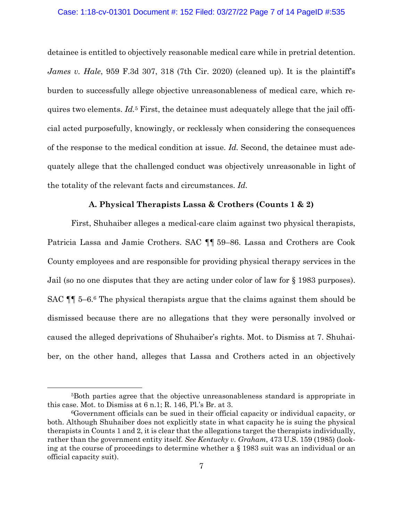#### Case: 1:18-cv-01301 Document #: 152 Filed: 03/27/22 Page 7 of 14 PageID #:535

detainee is entitled to objectively reasonable medical care while in pretrial detention. *James v. Hale*, 959 F.3d 307, 318 (7th Cir. 2020) (cleaned up). It is the plaintiff's burden to successfully allege objective unreasonableness of medical care, which requires two elements. *Id.*<sup>5</sup> First, the detainee must adequately allege that the jail official acted purposefully, knowingly, or recklessly when considering the consequences of the response to the medical condition at issue. *Id.* Second, the detainee must adequately allege that the challenged conduct was objectively unreasonable in light of the totality of the relevant facts and circumstances. *Id.* 

## **A. Physical Therapists Lassa & Crothers (Counts 1 & 2)**

First, Shuhaiber alleges a medical-care claim against two physical therapists, Patricia Lassa and Jamie Crothers. SAC ¶¶ 59–86. Lassa and Crothers are Cook County employees and are responsible for providing physical therapy services in the Jail (so no one disputes that they are acting under color of law for § 1983 purposes). SAC ¶¶ 5–6.6 The physical therapists argue that the claims against them should be dismissed because there are no allegations that they were personally involved or caused the alleged deprivations of Shuhaiber's rights. Mot. to Dismiss at 7. Shuhaiber, on the other hand, alleges that Lassa and Crothers acted in an objectively

<sup>5</sup>Both parties agree that the objective unreasonableness standard is appropriate in this case. Mot. to Dismiss at 6 n.1; R. 146, Pl.'s Br. at 3.

<sup>6</sup>Government officials can be sued in their official capacity or individual capacity, or both. Although Shuhaiber does not explicitly state in what capacity he is suing the physical therapists in Counts 1 and 2, it is clear that the allegations target the therapists individually, rather than the government entity itself. *See Kentucky v. Graham*, 473 U.S. 159 (1985) (looking at the course of proceedings to determine whether a § 1983 suit was an individual or an official capacity suit).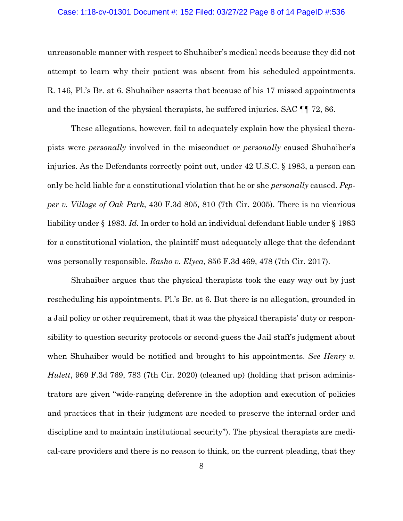#### Case: 1:18-cv-01301 Document #: 152 Filed: 03/27/22 Page 8 of 14 PageID #:536

unreasonable manner with respect to Shuhaiber's medical needs because they did not attempt to learn why their patient was absent from his scheduled appointments. R. 146, Pl.'s Br. at 6. Shuhaiber asserts that because of his 17 missed appointments and the inaction of the physical therapists, he suffered injuries. SAC ¶¶ 72, 86.

These allegations, however, fail to adequately explain how the physical therapists were *personally* involved in the misconduct or *personally* caused Shuhaiber's injuries. As the Defendants correctly point out, under 42 U.S.C. § 1983, a person can only be held liable for a constitutional violation that he or she *personally* caused. *Pepper v. Village of Oak Park*, 430 F.3d 805, 810 (7th Cir. 2005). There is no vicarious liability under § 1983. *Id.* In order to hold an individual defendant liable under § 1983 for a constitutional violation, the plaintiff must adequately allege that the defendant was personally responsible. *Rasho v. Elyea*, 856 F.3d 469, 478 (7th Cir. 2017).

Shuhaiber argues that the physical therapists took the easy way out by just rescheduling his appointments. Pl.'s Br. at 6. But there is no allegation, grounded in a Jail policy or other requirement, that it was the physical therapists' duty or responsibility to question security protocols or second-guess the Jail staff's judgment about when Shuhaiber would be notified and brought to his appointments. *See Henry v. Hulett*, 969 F.3d 769, 783 (7th Cir. 2020) (cleaned up) (holding that prison administrators are given "wide-ranging deference in the adoption and execution of policies and practices that in their judgment are needed to preserve the internal order and discipline and to maintain institutional security"). The physical therapists are medical-care providers and there is no reason to think, on the current pleading, that they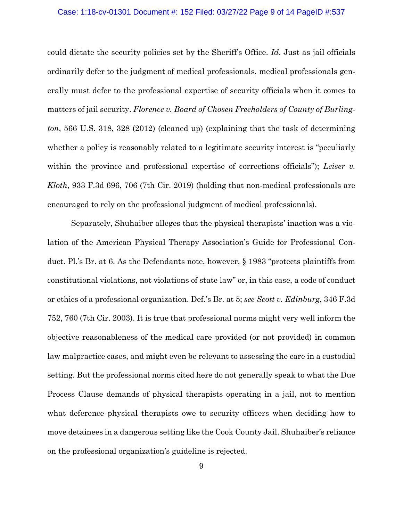#### Case: 1:18-cv-01301 Document #: 152 Filed: 03/27/22 Page 9 of 14 PageID #:537

could dictate the security policies set by the Sheriff's Office. *Id*. Just as jail officials ordinarily defer to the judgment of medical professionals, medical professionals generally must defer to the professional expertise of security officials when it comes to matters of jail security. *Florence v. Board of Chosen Freeholders of County of Burlington*, 566 U.S. 318, 328 (2012) (cleaned up) (explaining that the task of determining whether a policy is reasonably related to a legitimate security interest is "peculiarly within the province and professional expertise of corrections officials"); *Leiser v. Kloth*, 933 F.3d 696, 706 (7th Cir. 2019) (holding that non-medical professionals are encouraged to rely on the professional judgment of medical professionals).

Separately, Shuhaiber alleges that the physical therapists' inaction was a violation of the American Physical Therapy Association's Guide for Professional Conduct. Pl.'s Br. at 6. As the Defendants note, however, § 1983 "protects plaintiffs from constitutional violations, not violations of state law" or, in this case, a code of conduct or ethics of a professional organization. Def.'s Br. at 5; *see Scott v. Edinburg*, 346 F.3d 752, 760 (7th Cir. 2003). It is true that professional norms might very well inform the objective reasonableness of the medical care provided (or not provided) in common law malpractice cases, and might even be relevant to assessing the care in a custodial setting. But the professional norms cited here do not generally speak to what the Due Process Clause demands of physical therapists operating in a jail, not to mention what deference physical therapists owe to security officers when deciding how to move detainees in a dangerous setting like the Cook County Jail. Shuhaiber's reliance on the professional organization's guideline is rejected.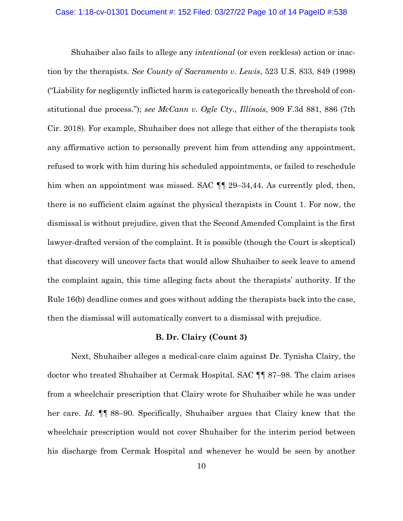Shuhaiber also fails to allege any *intentional* (or even reckless) action or inaction by the therapists. *See County of Sacramento v. Lewis*, 523 U.S. 833, 849 (1998) ("Liability for negligently inflicted harm is categorically beneath the threshold of constitutional due process."); *see McCann v. Ogle Cty., Illinois*, 909 F.3d 881, 886 (7th Cir. 2018). For example, Shuhaiber does not allege that either of the therapists took any affirmative action to personally prevent him from attending any appointment, refused to work with him during his scheduled appointments, or failed to reschedule him when an appointment was missed. SAC  $\P$  29–34,44. As currently pled, then, there is no sufficient claim against the physical therapists in Count 1. For now, the dismissal is without prejudice, given that the Second Amended Complaint is the first lawyer-drafted version of the complaint. It is possible (though the Court is skeptical) that discovery will uncover facts that would allow Shuhaiber to seek leave to amend the complaint again, this time alleging facts about the therapists' authority. If the Rule 16(b) deadline comes and goes without adding the therapists back into the case, then the dismissal will automatically convert to a dismissal with prejudice.

#### **B. Dr. Clairy (Count 3)**

Next, Shuhaiber alleges a medical-care claim against Dr. Tynisha Clairy, the doctor who treated Shuhaiber at Cermak Hospital. SAC ¶¶ 87–98. The claim arises from a wheelchair prescription that Clairy wrote for Shuhaiber while he was under her care. *Id.* ¶¶ 88–90. Specifically, Shuhaiber argues that Clairy knew that the wheelchair prescription would not cover Shuhaiber for the interim period between his discharge from Cermak Hospital and whenever he would be seen by another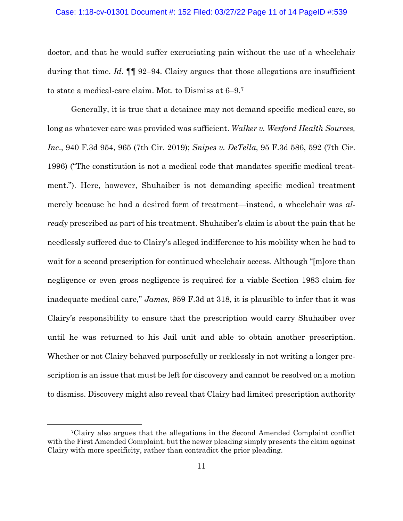#### Case: 1:18-cv-01301 Document #: 152 Filed: 03/27/22 Page 11 of 14 PageID #:539

doctor, and that he would suffer excruciating pain without the use of a wheelchair during that time. *Id.* ¶¶ 92–94. Clairy argues that those allegations are insufficient to state a medical-care claim. Mot. to Dismiss at 6–9.7

Generally, it is true that a detainee may not demand specific medical care, so long as whatever care was provided was sufficient. *Walker v. Wexford Health Sources, Inc*., 940 F.3d 954, 965 (7th Cir. 2019); *Snipes v. DeTella*, 95 F.3d 586, 592 (7th Cir. 1996) ("The constitution is not a medical code that mandates specific medical treatment."). Here, however, Shuhaiber is not demanding specific medical treatment merely because he had a desired form of treatment—instead, a wheelchair was *already* prescribed as part of his treatment. Shuhaiber's claim is about the pain that he needlessly suffered due to Clairy's alleged indifference to his mobility when he had to wait for a second prescription for continued wheelchair access. Although "[m]ore than negligence or even gross negligence is required for a viable Section 1983 claim for inadequate medical care," *James*, 959 F.3d at 318, it is plausible to infer that it was Clairy's responsibility to ensure that the prescription would carry Shuhaiber over until he was returned to his Jail unit and able to obtain another prescription. Whether or not Clairy behaved purposefully or recklessly in not writing a longer prescription is an issue that must be left for discovery and cannot be resolved on a motion to dismiss. Discovery might also reveal that Clairy had limited prescription authority

<sup>7</sup>Clairy also argues that the allegations in the Second Amended Complaint conflict with the First Amended Complaint, but the newer pleading simply presents the claim against Clairy with more specificity, rather than contradict the prior pleading.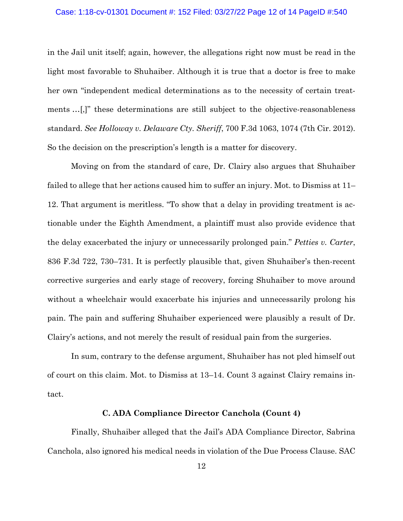#### Case: 1:18-cv-01301 Document #: 152 Filed: 03/27/22 Page 12 of 14 PageID #:540

in the Jail unit itself; again, however, the allegations right now must be read in the light most favorable to Shuhaiber. Although it is true that a doctor is free to make her own "independent medical determinations as to the necessity of certain treatments …[,]" these determinations are still subject to the objective-reasonableness standard. *See Holloway v. Delaware Cty. Sheriff*, 700 F.3d 1063, 1074 (7th Cir. 2012). So the decision on the prescription's length is a matter for discovery.

Moving on from the standard of care, Dr. Clairy also argues that Shuhaiber failed to allege that her actions caused him to suffer an injury. Mot. to Dismiss at 11– 12. That argument is meritless. "To show that a delay in providing treatment is actionable under the Eighth Amendment, a plaintiff must also provide evidence that the delay exacerbated the injury or unnecessarily prolonged pain." *Petties v. Carter*, 836 F.3d 722, 730–731. It is perfectly plausible that, given Shuhaiber's then-recent corrective surgeries and early stage of recovery, forcing Shuhaiber to move around without a wheelchair would exacerbate his injuries and unnecessarily prolong his pain. The pain and suffering Shuhaiber experienced were plausibly a result of Dr. Clairy's actions, and not merely the result of residual pain from the surgeries.

In sum, contrary to the defense argument, Shuhaiber has not pled himself out of court on this claim. Mot. to Dismiss at 13–14. Count 3 against Clairy remains intact.

### **C. ADA Compliance Director Canchola (Count 4)**

Finally, Shuhaiber alleged that the Jail's ADA Compliance Director, Sabrina Canchola, also ignored his medical needs in violation of the Due Process Clause. SAC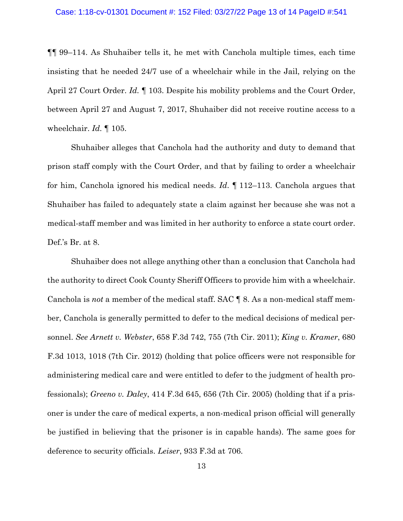¶¶ 99–114. As Shuhaiber tells it, he met with Canchola multiple times, each time insisting that he needed 24/7 use of a wheelchair while in the Jail, relying on the April 27 Court Order. *Id.* ¶ 103. Despite his mobility problems and the Court Order, between April 27 and August 7, 2017, Shuhaiber did not receive routine access to a wheelchair. *Id.* ¶ 105.

Shuhaiber alleges that Canchola had the authority and duty to demand that prison staff comply with the Court Order, and that by failing to order a wheelchair for him, Canchola ignored his medical needs. *Id*. ¶ 112–113. Canchola argues that Shuhaiber has failed to adequately state a claim against her because she was not a medical-staff member and was limited in her authority to enforce a state court order. Def.'s Br. at 8.

Shuhaiber does not allege anything other than a conclusion that Canchola had the authority to direct Cook County Sheriff Officers to provide him with a wheelchair. Canchola is *not* a member of the medical staff. SAC ¶ 8. As a non-medical staff member, Canchola is generally permitted to defer to the medical decisions of medical personnel. *See Arnett v. Webster*, 658 F.3d 742, 755 (7th Cir. 2011); *King v. Kramer*, 680 F.3d 1013, 1018 (7th Cir. 2012) (holding that police officers were not responsible for administering medical care and were entitled to defer to the judgment of health professionals); *Greeno v. Daley*, 414 F.3d 645, 656 (7th Cir. 2005) (holding that if a prisoner is under the care of medical experts, a non-medical prison official will generally be justified in believing that the prisoner is in capable hands). The same goes for deference to security officials. *Leiser*, 933 F.3d at 706.